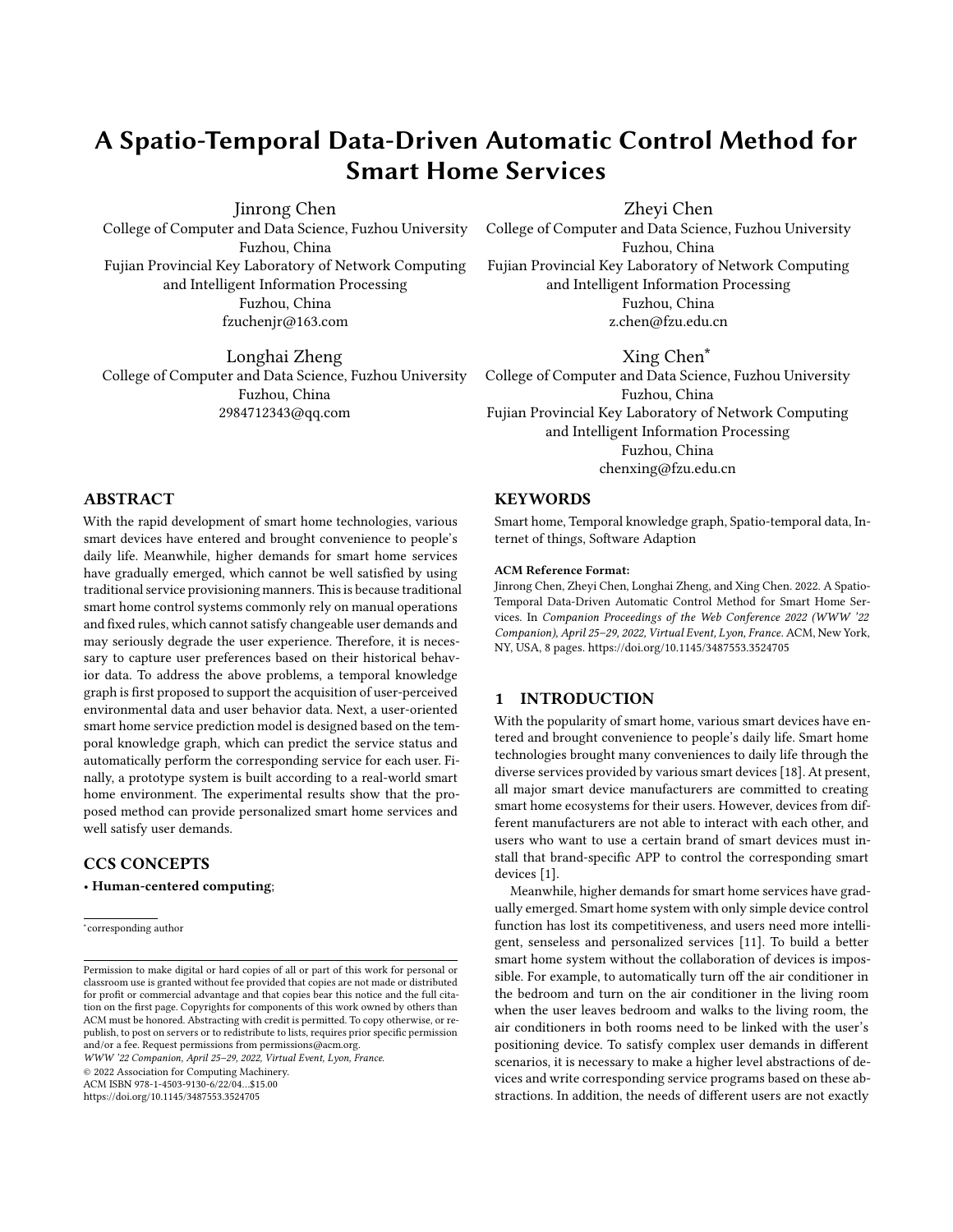# **A Spatio-Temporal Data-Driven Automatic Control Method for Smart Home Services**

Jinrong Chen

College of Computer and Data Science, Fuzhou University Fuzhou, China Fujian Provincial Key Laboratory of Network Computing and Intelligent Information Processing Fuzhou, China fzuchenjr@163.com

Longhai Zheng College of Computer and Data Science, Fuzhou University Fuzhou, China 2984712343@qq.com

Zheyi Chen

College of Computer and Data Science, Fuzhou University Fuzhou, China Fujian Provincial Key Laboratory of Network Computing and Intelligent Information Processing Fuzhou, China z.chen@fzu.edu.cn

Xing Chen∗ College of Computer and Data Science, Fuzhou University Fuzhou, China Fujian Provincial Key Laboratory of Network Computing and Intelligent Information Processing Fuzhou, China chenxing@fzu.edu.cn

## **KEYWORDS**

Smart home, Temporal knowledge graph, Spatio-temporal data, Internet of things, Software Adaption

#### **ACM Reference Format:**

Jinrong Chen, Zheyi Chen, Longhai Zheng, and Xing Chen. 2022. A Spatio-Temporal Data-Driven Automatic Control Method for Smart Home Services. In *Companion Proceedings of the Web Conference 2022 (WWW '22 Companion), April 25–29, 2022, Virtual Event, Lyon, France.* ACM, New York, NY, USA, [8](#page-7-0) pages. <https://doi.org/10.1145/3487553.3524705>

#### **1 INTRODUCTION**

With the popularity of smart home, various smart devices have entered and brought convenience to people's daily life. Smart home technologies brought many conveniences to daily life through the diverse services provided by various smart devices [\[18\]](#page-7-1). At present, all major smart device manufacturers are committed to creating smart home ecosystems for their users. However, devices from different manufacturers are not able to interact with each other, and users who want to use a certain brand of smart devices must install that brand-specific APP to control the corresponding smart devices [\[1](#page-7-2)].

Meanwhile, higher demands for smart home services have gradually emerged. Smart home system with only simple device control function has lost its competitiveness, and users need more intelligent, senseless and personalized services [\[11\]](#page-7-3). To build a better smart home system without the collaboration of devices is impossible. For example, to automatically turn off the air conditioner in the bedroom and turn on the air conditioner in the living room when the user leaves bedroom and walks to the living room, the air conditioners in both rooms need to be linked with the user's positioning device. To satisfy complex user demands in different scenarios, it is necessary to make a higher level abstractions of devices and write corresponding service programs based on these abstractions. In addition, the needs of different users are not exactly

#### **ABSTRACT**

With the rapid development of smart home technologies, various smart devices have entered and brought convenience to people's daily life. Meanwhile, higher demands for smart home services have gradually emerged, which cannot be well satisfied by using traditional service provisioning manners.This is because traditional smart home control systems commonly rely on manual operations and fixed rules, which cannot satisfy changeable user demands and may seriously degrade the user experience. Therefore, it is necessary to capture user preferences based on their historical behavior data. To address the above problems, a temporal knowledge graph is first proposed to support the acquisition of user-perceived environmental data and user behavior data. Next, a user-oriented smart home service prediction model is designed based on the temporal knowledge graph, which can predict the service status and automatically perform the corresponding service for each user. Finally, a prototype system is built according to a real-world smart home environment. The experimental results show that the proposed method can provide personalized smart home services and well satisfy user demands.

## **CCS CONCEPTS**

• **Human-centered computing**;

*WWW '22 Companion, April 25–29, 2022, Virtual Event, Lyon, France.*

© 2022 Association for Computing Machinery.

ACM ISBN 978-1-4503-9130-6/22/04…\$15.00

<https://doi.org/10.1145/3487553.3524705>

<sup>∗</sup> corresponding author

Permission to make digital or hard copies of all or part of this work for personal or classroom use is granted without fee provided that copies are not made or distributed for profit or commercial advantage and that copies bear this notice and the full citation on the first page. Copyrights for components of this work owned by others than ACM must be honored. Abstracting with credit is permitted. To copy otherwise, or republish, to post on servers or to redistribute to lists, requires prior specific permission and/or a fee. Request permissions from permissions@acm.org.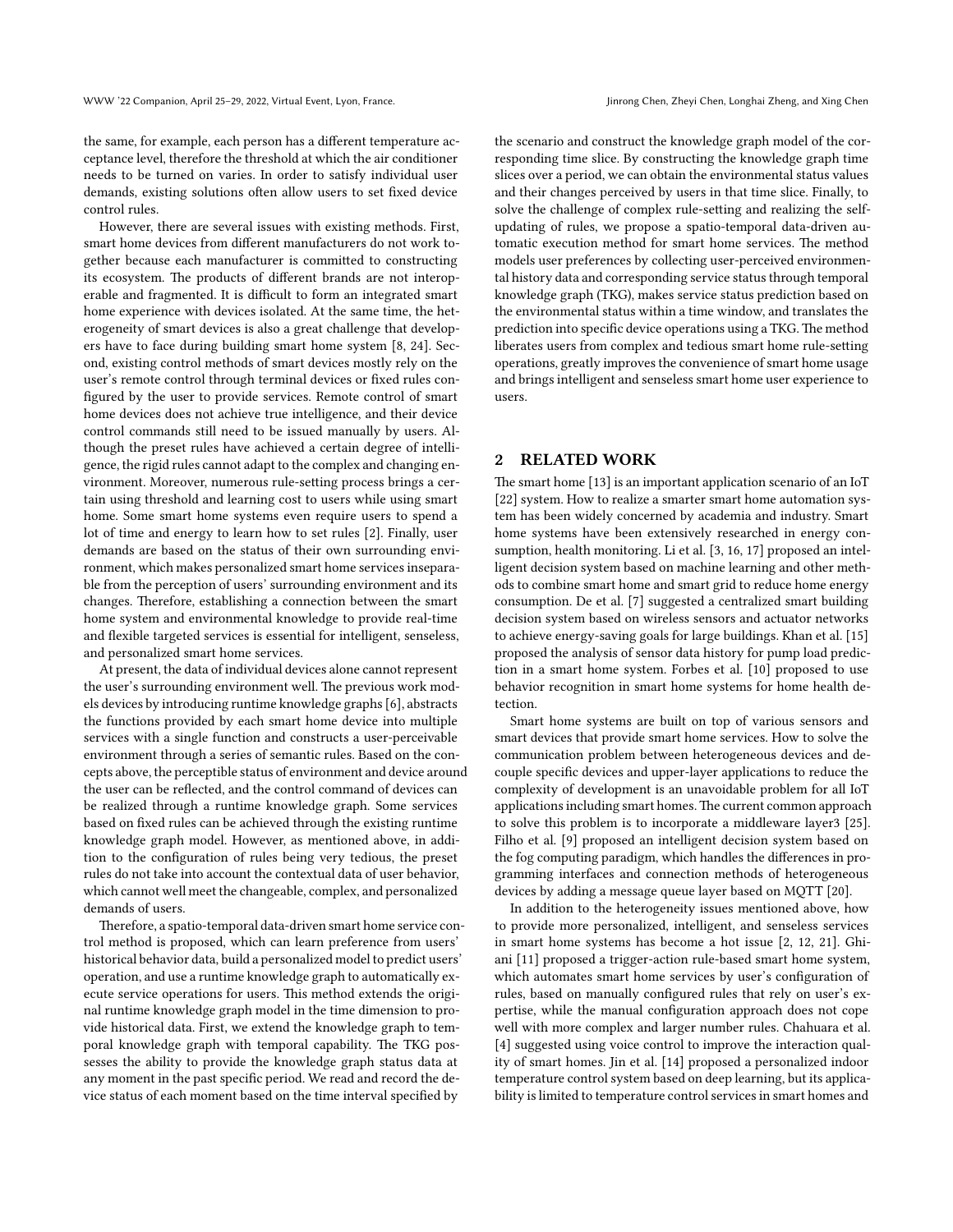the same, for example, each person has a different temperature acceptance level, therefore the threshold at which the air conditioner needs to be turned on varies. In order to satisfy individual user demands, existing solutions often allow users to set fixed device control rules.

However, there are several issues with existing methods. First, smart home devices from different manufacturers do not work together because each manufacturer is committed to constructing its ecosystem. The products of different brands are not interoperable and fragmented. It is difficult to form an integrated smart home experience with devices isolated. At the same time, the heterogeneity of smart devices is also a great challenge that developers have to face during building smart home system[[8,](#page-7-4) [24](#page-7-5)]. Second, existing control methods of smart devices mostly rely on the user's remote control through terminal devices or fixed rules configured by the user to provide services. Remote control of smart home devices does not achieve true intelligence, and their device control commands still need to be issued manually by users. Although the preset rules have achieved a certain degree of intelligence, the rigid rules cannot adapt to the complex and changing environment. Moreover, numerous rule-setting process brings a certain using threshold and learning cost to users while using smart home. Some smart home systems even require users to spend a lot of time and energy to learn how to set rules [\[2](#page-7-6)]. Finally, user demands are based on the status of their own surrounding environment, which makes personalized smart home services inseparable from the perception of users' surrounding environment and its changes. Therefore, establishing a connection between the smart home system and environmental knowledge to provide real-time and flexible targeted services is essential for intelligent, senseless, and personalized smart home services.

At present, the data of individual devices alone cannot represent the user's surrounding environment well. The previous work models devices by introducing runtime knowledge graphs[[6\]](#page-7-7), abstracts the functions provided by each smart home device into multiple services with a single function and constructs a user-perceivable environment through a series of semantic rules. Based on the concepts above, the perceptible status of environment and device around the user can be reflected, and the control command of devices can be realized through a runtime knowledge graph. Some services based on fixed rules can be achieved through the existing runtime knowledge graph model. However, as mentioned above, in addition to the configuration of rules being very tedious, the preset rules do not take into account the contextual data of user behavior, which cannot well meet the changeable, complex, and personalized demands of users.

Therefore, a spatio-temporal data-driven smart home service control method is proposed, which can learn preference from users' historical behavior data, build a personalized model to predict users' operation, and use a runtime knowledge graph to automatically execute service operations for users. This method extends the original runtime knowledge graph model in the time dimension to provide historical data. First, we extend the knowledge graph to temporal knowledge graph with temporal capability. The TKG possesses the ability to provide the knowledge graph status data at any moment in the past specific period. We read and record the device status of each moment based on the time interval specified by

the scenario and construct the knowledge graph model of the corresponding time slice. By constructing the knowledge graph time slices over a period, we can obtain the environmental status values and their changes perceived by users in that time slice. Finally, to solve the challenge of complex rule-setting and realizing the selfupdating of rules, we propose a spatio-temporal data-driven automatic execution method for smart home services. The method models user preferences by collecting user-perceived environmental history data and corresponding service status through temporal knowledge graph (TKG), makes service status prediction based on the environmental status within a time window, and translates the prediction into specific device operations using a TKG. The method liberates users from complex and tedious smart home rule-setting operations, greatly improves the convenience of smart home usage and brings intelligent and senseless smart home user experience to users.

## **2 RELATED WORK**

The smart home [\[13\]](#page-7-8) is an important application scenario of an IoT [\[22](#page-7-9)] system. How to realize a smarter smart home automation system has been widely concerned by academia and industry. Smart home systems have been extensively researched in energy consumption, health monitoring. Li et al. [\[3](#page-7-10), [16,](#page-7-11) [17\]](#page-7-12) proposed an intelligent decision system based on machine learning and other methods to combine smart home and smart grid to reduce home energy consumption. De et al.[[7\]](#page-7-13) suggested a centralized smart building decision system based on wireless sensors and actuator networks to achieve energy-saving goals for large buildings. Khan et al.[[15](#page-7-14)] proposed the analysis of sensor data history for pump load prediction in a smart home system. Forbes et al.[[10](#page-7-15)] proposed to use behavior recognition in smart home systems for home health detection.

Smart home systems are built on top of various sensors and smart devices that provide smart home services. How to solve the communication problem between heterogeneous devices and decouple specific devices and upper-layer applications to reduce the complexity of development is an unavoidable problem for all IoT applications including smart homes.The current common approach to solve this problem is to incorporate a middleware layer3 [\[25](#page-7-16)]. Filho et al.[[9](#page-7-17)] proposed an intelligent decision system based on the fog computing paradigm, which handles the differences in programming interfaces and connection methods of heterogeneous devices by adding a message queue layer based on MQTT [\[20\]](#page-7-18).

In addition to the heterogeneity issues mentioned above, how to provide more personalized, intelligent, and senseless services in smart home systems has become a hot issue [\[2,](#page-7-6) [12](#page-7-19), [21\]](#page-7-20). Ghiani [\[11](#page-7-3)] proposed a trigger-action rule-based smart home system, which automates smart home services by user's configuration of rules, based on manually configured rules that rely on user's expertise, while the manual configuration approach does not cope well with more complex and larger number rules. Chahuara et al. [\[4](#page-7-21)] suggested using voice control to improve the interaction quality of smart homes. Jin et al. [\[14\]](#page-7-22) proposed a personalized indoor temperature control system based on deep learning, but its applicability is limited to temperature control services in smart homes and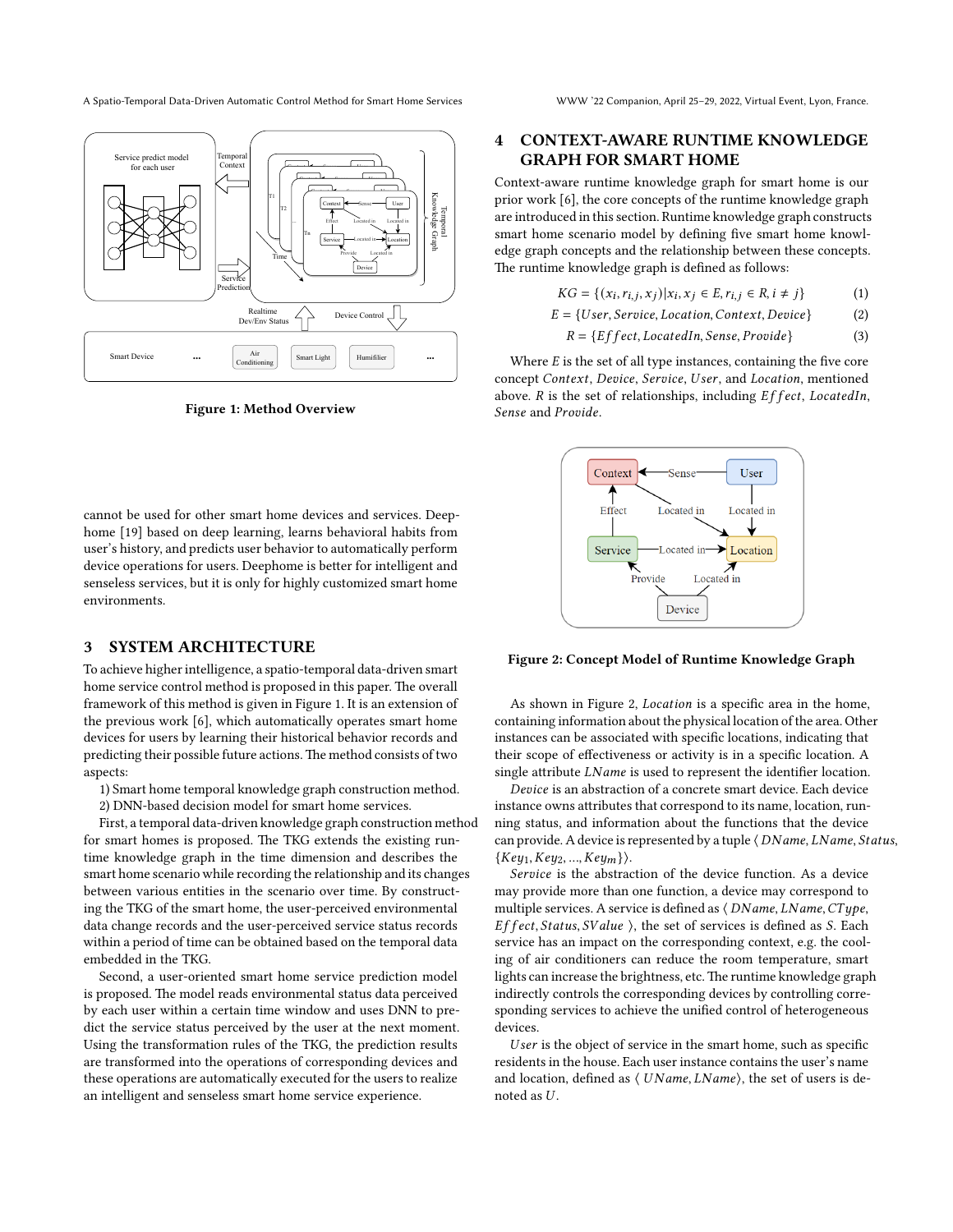A Spatio-Temporal Data-Driven Automatic Control Method for Smart Home Services WWW '22 Companion, April 25–29, 2022, Virtual Event, Lyon, France.

<span id="page-2-0"></span>z T1 Device Service  $\overline{\phantom{a}}$  $\sqrt{ }$ ense User  $-$ Sense $-$ Locate Context  $\overline{\phantom{a}}$ T2  $\overline{\phantom{a}}$ Service Provide Context  $\epsilon$ Sense User Locate  $\blacksquare$ ... Device Service rvice  $\blacksquare$ e e establishe da propria de la propria de la propria de la propria de la propria de la propria de la propria <br>De la propria de la propria de la propria de la propria de la propria de la propria de la propria de la propri  $\overline{\phantom{a}}$ Sense User Location ated in  $-$ Locate Locate Tn Device | Service -Provide Context Effect Sense User Location Located in Located in-Located in Located in Time Smart Device Temporal Context Temporal Knowledge Graph Realtin Realtime  $\left\{\begin{array}{c} \sim \end{array}\right\}$  Device Cont Service Prediction Service predict model for each user **... ...** Air **Smart Light** Humifilier **... Conditioning** 

**Figure 1: Method Overview**

cannot be used for other smart home devices and services. Deephome [\[19\]](#page-7-23) based on deep learning, learns behavioral habits from user's history, and predicts user behavior to automatically perform device operations for users. Deephome is better for intelligent and senseless services, but it is only for highly customized smart home environments.

#### **3 SYSTEM ARCHITECTURE**

To achieve higher intelligence, a spatio-temporal data-driven smart home service control method is proposed in this paper. The overall framework of this method is given in Figure [1](#page-2-0). It is an extension of the previous work[[6](#page-7-7)], which automatically operates smart home devices for users by learning their historical behavior records and predicting their possible future actions.The method consists of two aspects:

1) Smart home temporal knowledge graph construction method.

2) DNN-based decision model for smart home services.

First, a temporal data-driven knowledge graph construction method for smart homes is proposed. The TKG extends the existing runtime knowledge graph in the time dimension and describes the smart home scenario while recording the relationship and its changes between various entities in the scenario over time. By constructing the TKG of the smart home, the user-perceived environmental data change records and the user-perceived service status records within a period of time can be obtained based on the temporal data embedded in the TKG.

Second, a user-oriented smart home service prediction model is proposed. The model reads environmental status data perceived by each user within a certain time window and uses DNN to predict the service status perceived by the user at the next moment. Using the transformation rules of the TKG, the prediction results are transformed into the operations of corresponding devices and these operations are automatically executed for the users to realize an intelligent and senseless smart home service experience.

# **4 CONTEXT-AWARE RUNTIME KNOWLEDGE GRAPH FOR SMART HOME**

Context-aware runtime knowledge graph for smart home is our prior work[[6\]](#page-7-7), the core concepts of the runtime knowledge graph are introduced in this section. Runtime knowledge graph constructs smart home scenario model by defining five smart home knowledge graph concepts and the relationship between these concepts. The runtime knowledge graph is defined as follows:

$$
KG = \{(x_i, r_{i,j}, x_j) | x_i, x_j \in E, r_{i,j} \in R, i \neq j\}
$$
(1)

$$
E = \{User, Service, Location, Context, Device\} \tag{2}
$$

$$
R = \{Effect, locatedIn, Sense, Provide\} \tag{3}
$$

Where  $E$  is the set of all type instances, containing the five core concept Context, Device, Service, User, and Location, mentioned above.  $R$  is the set of relationships, including  $Effect$ ,  $LocaledIn$ , Sense and Provide.

<span id="page-2-1"></span>

**Figure 2: Concept Model of Runtime Knowledge Graph**

As shown in Figure [2](#page-2-1), *Location* is a specific area in the home, containing information about the physical location of the area. Other instances can be associated with specific locations, indicating that their scope of effectiveness or activity is in a specific location. A single attribute  $LName$  is used to represent the identifier location.

Device is an abstraction of a concrete smart device. Each device instance owns attributes that correspond to its name, location, running status, and information about the functions that the device can provide. A device is represented by a tuple  $\langle$  *DName, LName, Status,*  ${Key_1, Key_2, ..., Key_m}.$ 

Service is the abstraction of the device function. As a device may provide more than one function, a device may correspond to multiple services. A service is defined as  $\langle DName, LName, CType,$ *Effect, Status, SValue ), the set of services is defined as S. Each* service has an impact on the corresponding context, e.g. the cooling of air conditioners can reduce the room temperature, smart lights can increase the brightness, etc.The runtime knowledge graph indirectly controls the corresponding devices by controlling corresponding services to achieve the unified control of heterogeneous devices.

User is the object of service in the smart home, such as specific residents in the house. Each user instance contains the user's name and location, defined as  $\langle UName, LName \rangle$ , the set of users is denoted as  $U$ .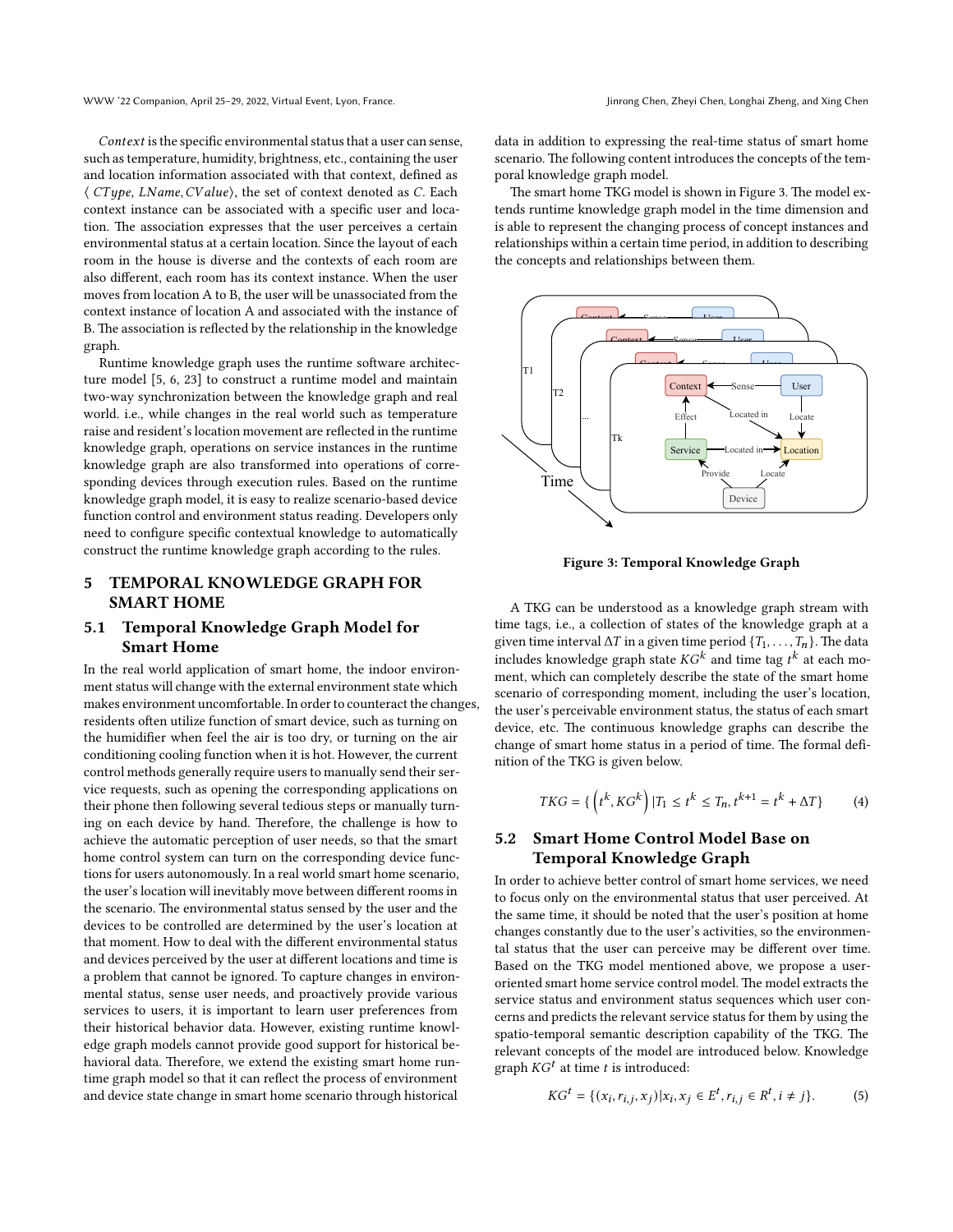$Context$  is the specific environmental status that a user can sense, such as temperature, humidity, brightness, etc., containing the user and location information associated with that context, defined as  $\langle CType, LName, CValue \rangle$ , the set of context denoted as C. Each context instance can be associated with a specific user and location. The association expresses that the user perceives a certain environmental status at a certain location. Since the layout of each room in the house is diverse and the contexts of each room are also different, each room has its context instance. When the user moves from location A to B, the user will be unassociated from the context instance of location A and associated with the instance of B. The association is reflected by the relationship in the knowledge graph.

Runtime knowledge graph uses the runtime software architecture model [\[5](#page-7-24), [6](#page-7-7), [23\]](#page-7-25) to construct a runtime model and maintain two-way synchronization between the knowledge graph and real world. i.e., while changes in the real world such as temperature raise and resident's location movement are reflected in the runtime knowledge graph, operations on service instances in the runtime knowledge graph are also transformed into operations of corresponding devices through execution rules. Based on the runtime knowledge graph model, it is easy to realize scenario-based device function control and environment status reading. Developers only need to configure specific contextual knowledge to automatically construct the runtime knowledge graph according to the rules.

# **5 TEMPORAL KNOWLEDGE GRAPH FOR SMART HOME**

# **5.1 Temporal Knowledge Graph Model for Smart Home**

In the real world application of smart home, the indoor environment status will change with the external environment state which makes environment uncomfortable. In order to counteract the changes, residents often utilize function of smart device, such as turning on the humidifier when feel the air is too dry, or turning on the air conditioning cooling function when it is hot. However, the current control methods generally require users to manually send their service requests, such as opening the corresponding applications on their phone then following several tedious steps or manually turning on each device by hand. Therefore, the challenge is how to achieve the automatic perception of user needs, so that the smart home control system can turn on the corresponding device functions for users autonomously. In a real world smart home scenario, the user's location will inevitably move between different rooms in the scenario. The environmental status sensed by the user and the devices to be controlled are determined by the user's location at that moment. How to deal with the different environmental status and devices perceived by the user at different locations and time is a problem that cannot be ignored. To capture changes in environmental status, sense user needs, and proactively provide various services to users, it is important to learn user preferences from their historical behavior data. However, existing runtime knowledge graph models cannot provide good support for historical behavioral data. Therefore, we extend the existing smart home runtime graph model so that it can reflect the process of environment and device state change in smart home scenario through historical

data in addition to expressing the real-time status of smart home scenario. The following content introduces the concepts of the temporal knowledge graph model.

The smart home TKG model is shown in Figure [3.](#page-3-0) The model extends runtime knowledge graph model in the time dimension and is able to represent the changing process of concept instances and relationships within a certain time period, in addition to describing the concepts and relationships between them.

<span id="page-3-0"></span>

**Figure 3: Temporal Knowledge Graph**

A TKG can be understood as a knowledge graph stream with time tags, i.e., a collection of states of the knowledge graph at a given time interval  $\Delta T$  in a given time period  $\{T_1, \ldots, T_n\}$ . The data includes knowledge graph state  $\mathit{KG}^k$  and time tag  $t^k$  at each moment, which can completely describe the state of the smart home scenario of corresponding moment, including the user's location, the user's perceivable environment status, the status of each smart device, etc. The continuous knowledge graphs can describe the change of smart home status in a period of time. The formal definition of the TKG is given below.

$$
TKG = \{ \left( t^k, KG^k \right) | T_1 \le t^k \le T_n, t^{k+1} = t^k + \Delta T \}
$$
 (4)

# **5.2 Smart Home Control Model Base on Temporal Knowledge Graph**

In order to achieve better control of smart home services, we need to focus only on the environmental status that user perceived. At the same time, it should be noted that the user's position at home changes constantly due to the user's activities, so the environmental status that the user can perceive may be different over time. Based on the TKG model mentioned above, we propose a useroriented smart home service control model. The model extracts the service status and environment status sequences which user concerns and predicts the relevant service status for them by using the spatio-temporal semantic description capability of the TKG. The relevant concepts of the model are introduced below. Knowledge  $graph KG<sup>t</sup>$  at time  $t$  is introduced:

$$
KG^{t} = \{ (x_i, r_{i,j}, x_j) | x_i, x_j \in E^{t}, r_{i,j} \in R^{t}, i \neq j \}.
$$
 (5)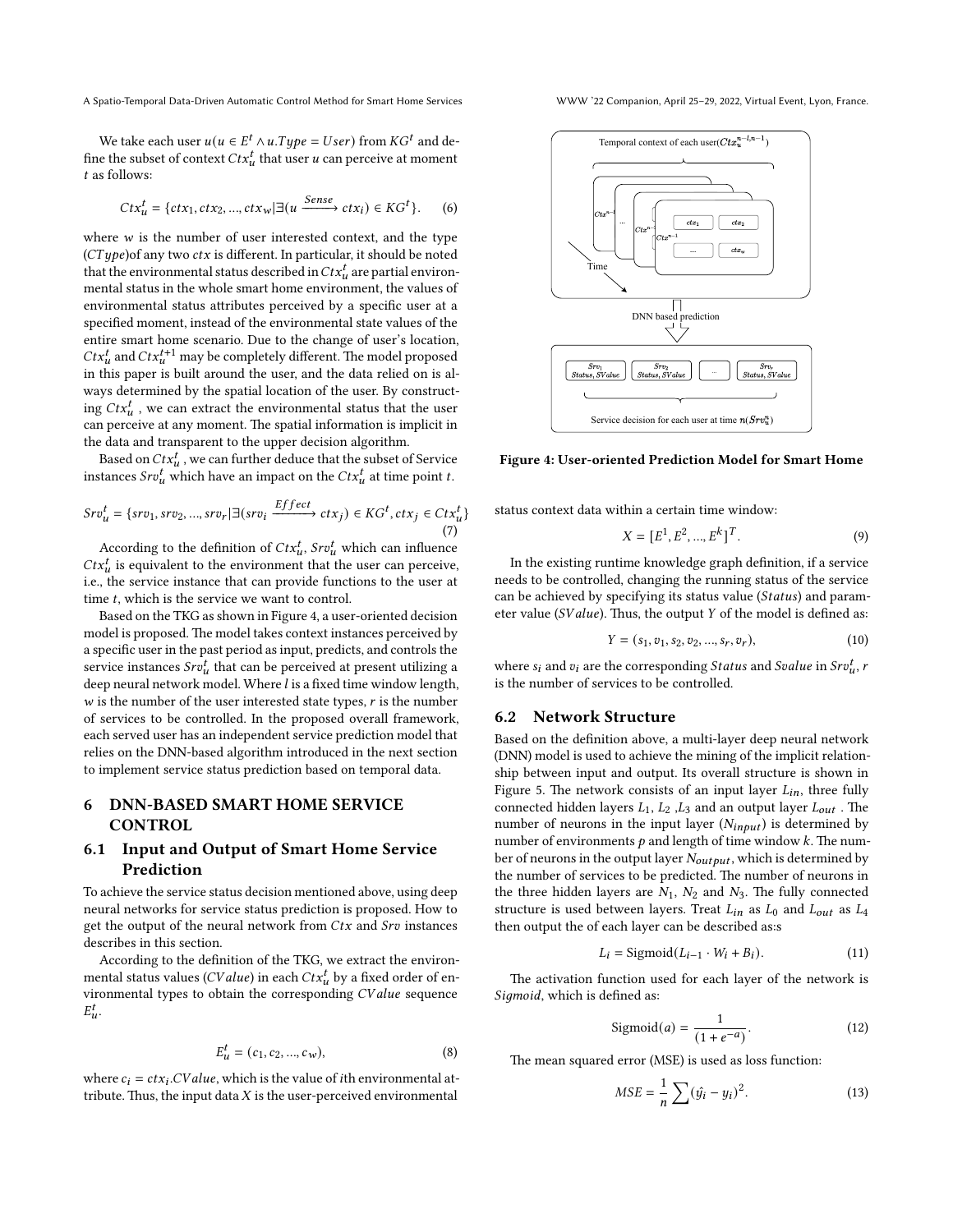A Spatio-Temporal Data-Driven Automatic Control Method for Smart Home Services WWW '22 Companion, April 25–29, 2022, Virtual Event, Lyon, France.

We take each user  $u(u \in E^t \wedge u.Type = User)$  from  $KG^t$  and define the subset of context  $Ctx_u^t$  that user  $u$  can perceive at moment as follows:

$$
Ctx_u^t = \{ctx_1, ctx_2, ..., ctx_w | \exists (u \xrightarrow{Sense} ctx_i) \in KG^t \}. \tag{6}
$$

where  $w$  is the number of user interested context, and the type  $(CType)$ of any two  $ctx$  is different. In particular, it should be noted that the environmental status described in  $\mathit{Ctx}^t_u$  are partial environmental status in the whole smart home environment, the values of environmental status attributes perceived by a specific user at a specified moment, instead of the environmental state values of the entire smart home scenario. Due to the change of user's location,  $\mathit{Ctx}^{t}_u$  and  $\mathit{Ctx}^{t+1}_u$  may be completely different. The model proposed in this paper is built around the user, and the data relied on is always determined by the spatial location of the user. By constructing  $Ctx_u^t$ , we can extract the environmental status that the user can perceive at any moment. The spatial information is implicit in the data and transparent to the upper decision algorithm.

Based on  $\mathit{Ctx}^t_u$  , we can further deduce that the subset of Service instances  $Srv_u^t$  which have an impact on the  $Ctx_u^t$  at time point  $t$ .

$$
Srv_u^t = \{ srv_1, srv_2, ..., srv_r \mid \exists (srv_i \xrightarrow{Effect} ctx_j) \in KG^t, ctx_j \in Ctx_u^t \}
$$
\n
$$
(7)
$$

According to the definition of  $Ctx_u^t$ ,  $Srv_u^t$  which can influence  $Ctx_u^t$  is equivalent to the environment that the user can perceive, i.e., the service instance that can provide functions to the user at time  $t$ , which is the service we want to control.

Based on the TKG as shown in Figure [4](#page-4-0), a user-oriented decision model is proposed. The model takes context instances perceived by a specific user in the past period as input, predicts, and controls the service instances  $Srv_u^t$  that can be perceived at present utilizing a deep neural network model. Where  $l$  is a fixed time window length,  $w$  is the number of the user interested state types,  $r$  is the number of services to be controlled. In the proposed overall framework, each served user has an independent service prediction model that relies on the DNN-based algorithm introduced in the next section to implement service status prediction based on temporal data.

# **6 DNN-BASED SMART HOME SERVICE CONTROL**

## **6.1 Input and Output of Smart Home Service Prediction**

To achieve the service status decision mentioned above, using deep neural networks for service status prediction is proposed. How to get the output of the neural network from  $Ctx$  and  $Srv$  instances describes in this section.

According to the definition of the TKG, we extract the environmental status values (*CV alue*) in each  $\mathit{Ctx}^t_u$  by a fixed order of environmental types to obtain the corresponding *CV alue* sequence  $E_{u}^{t}$ .

$$
E_u^t = (c_1, c_2, ..., c_w),
$$
 (8)

where  $c_i = ctx_i$ . *CV alue*, which is the value of *i*th environmental attribute. Thus, the input data  $X$  is the user-perceived environmental

<span id="page-4-0"></span>

**Figure 4: User-oriented Prediction Model for Smart Home**

status context data within a certain time window:

$$
X = [E^1, E^2, ..., E^k]^T.
$$
 (9)

In the existing runtime knowledge graph definition, if a service needs to be controlled, changing the running status of the service can be achieved by specifying its status value (Status) and parameter value (*SValue*). Thus, the output *Y* of the model is defined as:

$$
Y = (s_1, v_1, s_2, v_2, ..., s_r, v_r),
$$
\n(10)

where  $s_i$  and  $v_i$  are the corresponding Status and Svalue in Sr $v_u^t$ , r is the number of services to be controlled.

#### **6.2 Network Structure**

Based on the definition above, a multi-layer deep neural network (DNN) model is used to achieve the mining of the implicit relationship between input and output. Its overall structure is shown in Figure [5.](#page-5-0) The network consists of an input layer  $L_{in}$ , three fully connected hidden layers  $L_1$ ,  $L_2$ ,  $L_3$  and an output layer  $L_{out}$ . The number of neurons in the input layer  $(N_{inout})$  is determined by number of environments  $p$  and length of time window  $k$ . The number of neurons in the output layer  $N_{output}$ , which is determined by the number of services to be predicted. The number of neurons in the three hidden layers are  $N_1$ ,  $N_2$  and  $N_3$ . The fully connected structure is used between layers. Treat  $L_{in}$  as  $L_0$  and  $L_{out}$  as  $L_4$ then output the of each layer can be described as:s

<span id="page-4-1"></span>
$$
L_i = \text{Sigmoid}(L_{i-1} \cdot W_i + B_i). \tag{11}
$$

The activation function used for each layer of the network is Sigmoid, which is defined as:

$$
Sigmoid(a) = \frac{1}{(1 + e^{-a})}.
$$
\n(12)

The mean squared error (MSE) is used as loss function:

<span id="page-4-2"></span>
$$
MSE = \frac{1}{n} \sum (\hat{y}_i - y_i)^2.
$$
 (13)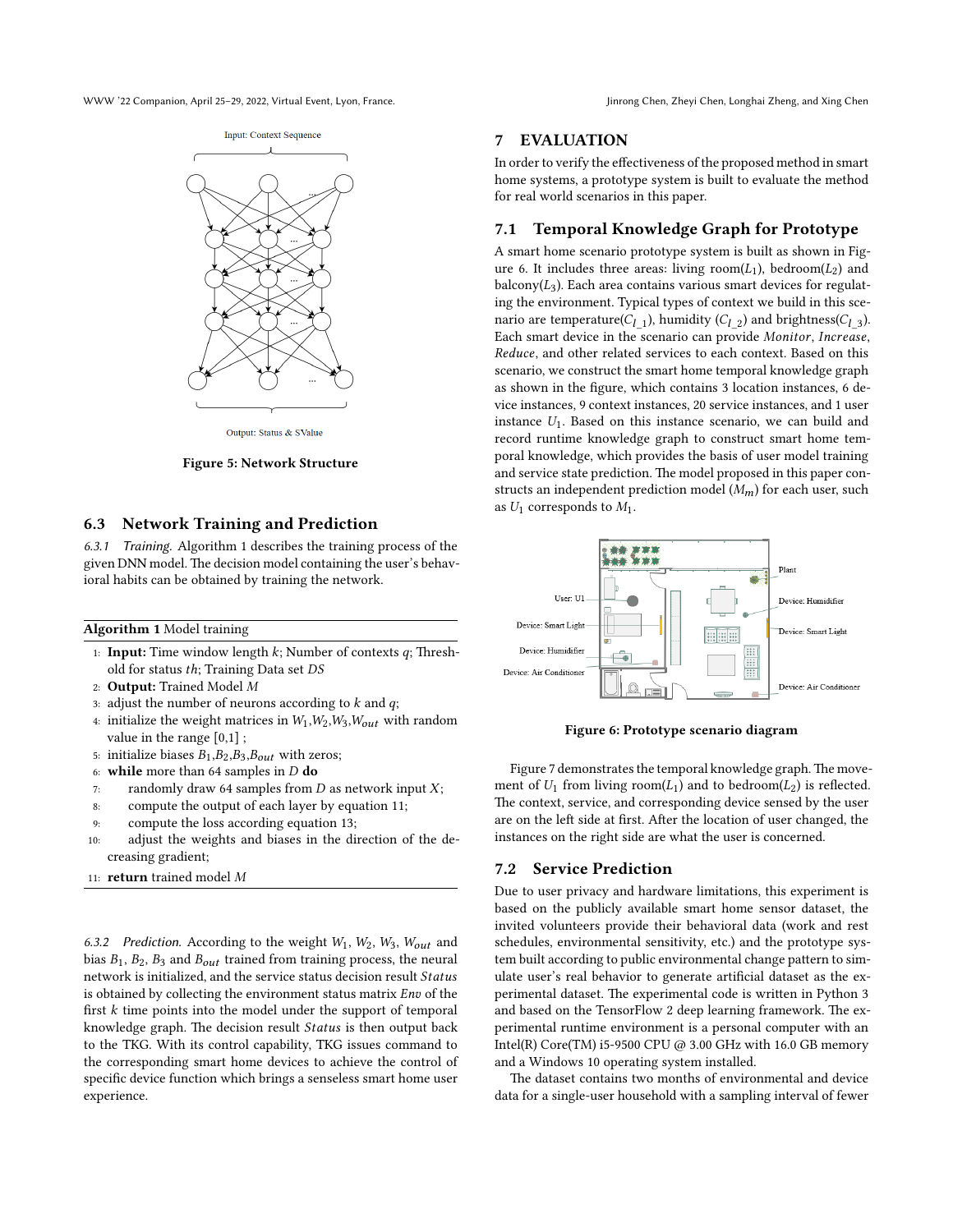<span id="page-5-0"></span>WWW '22 Companion, April 25–29, 2022, Virtual Event, Lyon, France. Jinrong Chen, Zheyi Chen, Longhai Zheng, and Xing Chen



Output: Status & SValue

**Figure 5: Network Structure**

#### **6.3 Network Training and Prediction**

6.3.1 Training. Algorithm 1 describes the training process of the given DNN model. The decision model containing the user's behavioral habits can be obtained by training the network.

#### **Algorithm 1** Model training

- 1: **Input:** Time window length  $k$ ; Number of contexts  $q$ ; Threshold for status *ℎ*; Training Data set
- 2: **Output:** Trained Model
- 3: adjust the number of neurons according to  $k$  and  $q$ ;
- 4: initialize the weight matrices in  $W_1, W_2, W_3, W_{out}$  with random value in the range [0,1] ;
- 5: initialize biases  $B_1$ ,  $B_2$ ,  $B_3$ ,  $B_{out}$  with zeros;
- 6: **while** more than 64 samples in  $D$  do
- 7: randomly draw 64 samples from  $D$  as network input  $X$ ;
- 8: compute the output of each layer by equation [11](#page-4-1);
- 9: compute the loss according equation [13](#page-4-2);
- 10: adjust the weights and biases in the direction of the decreasing gradient;
- 11: **return** trained model

6.3.2 Prediction. According to the weight  $W_1$ ,  $W_2$ ,  $W_3$ ,  $W_{out}$  and bias  $B_1$ ,  $B_2$ ,  $B_3$  and  $B_{out}$  trained from training process, the neural network is initialized, and the service status decision result Status is obtained by collecting the environment status matrix  $Env$  of the first  $k$  time points into the model under the support of temporal knowledge graph. The decision result Status is then output back to the TKG. With its control capability, TKG issues command to the corresponding smart home devices to achieve the control of specific device function which brings a senseless smart home user experience.

## **7 EVALUATION**

In order to verify the effectiveness of the proposed method in smart home systems, a prototype system is built to evaluate the method for real world scenarios in this paper.

# **7.1 Temporal Knowledge Graph for Prototype**

A smart home scenario prototype system is built as shown in Fig-ure [6.](#page-5-1) It includes three areas: living room( $L_1$ ), bedroom( $L_2$ ) and balcony( $L_3$ ). Each area contains various smart devices for regulating the environment. Typical types of context we build in this scenario are temperature( $C_{l\_1}$ ), humidity ( $C_{l\_2}$ ) and brightness( $C_{l\_3}$ ). Each smart device in the scenario can provide Monitor, Increase, Reduce, and other related services to each context. Based on this scenario, we construct the smart home temporal knowledge graph as shown in the figure, which contains 3 location instances, 6 device instances, 9 context instances, 20 service instances, and 1 user instance  $U_1$ . Based on this instance scenario, we can build and record runtime knowledge graph to construct smart home temporal knowledge, which provides the basis of user model training and service state prediction. The model proposed in this paper constructs an independent prediction model  $(M_m)$  for each user, such as  $U_1$  corresponds to  $M_1$ .

<span id="page-5-1"></span>

**Figure 6: Prototype scenario diagram**

Figure [7](#page-6-0) demonstrates the temporal knowledge graph. The movement of  $U_1$  from living room( $L_1$ ) and to bedroom( $L_2$ ) is reflected. The context, service, and corresponding device sensed by the user are on the left side at first. After the location of user changed, the instances on the right side are what the user is concerned.

#### **7.2 Service Prediction**

Due to user privacy and hardware limitations, this experiment is based on the publicly available smart home sensor dataset, the invited volunteers provide their behavioral data (work and rest schedules, environmental sensitivity, etc.) and the prototype system built according to public environmental change pattern to simulate user's real behavior to generate artificial dataset as the experimental dataset. The experimental code is written in Python 3 and based on the TensorFlow 2 deep learning framework. The experimental runtime environment is a personal computer with an Intel(R) Core(TM) i5-9500 CPU @ 3.00 GHz with 16.0 GB memory and a Windows 10 operating system installed.

The dataset contains two months of environmental and device data for a single-user household with a sampling interval of fewer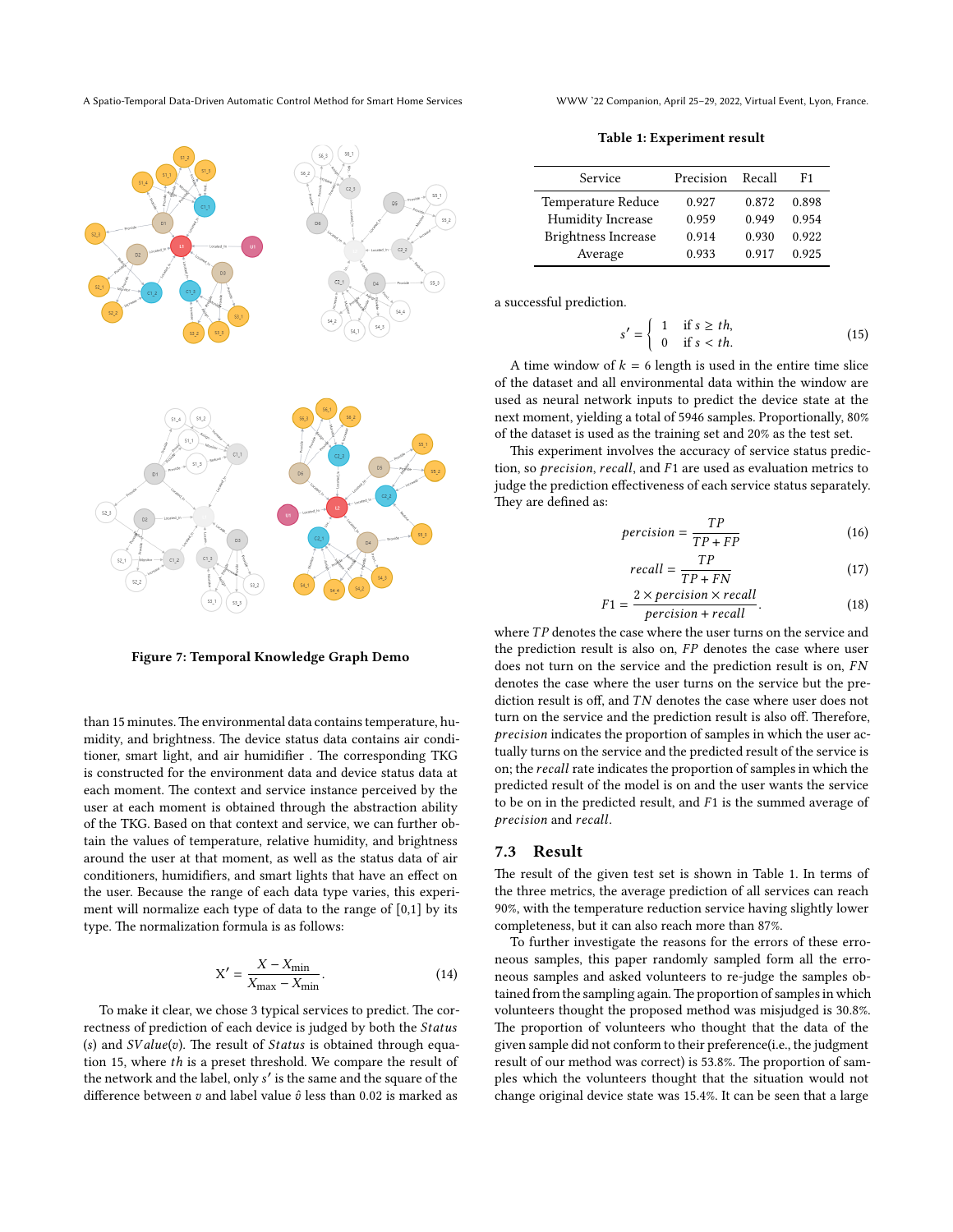A Spatio-Temporal Data-Driven Automatic Control Method for Smart Home Services WWW '22 Companion, April 25–29, 2022, Virtual Event, Lyon, France.

<span id="page-6-0"></span>

**Figure 7: Temporal Knowledge Graph Demo**

than 15 minutes. The environmental data contains temperature, humidity, and brightness. The device status data contains air conditioner, smart light, and air humidifier . The corresponding TKG is constructed for the environment data and device status data at each moment. The context and service instance perceived by the user at each moment is obtained through the abstraction ability of the TKG. Based on that context and service, we can further obtain the values of temperature, relative humidity, and brightness around the user at that moment, as well as the status data of air conditioners, humidifiers, and smart lights that have an effect on the user. Because the range of each data type varies, this experiment will normalize each type of data to the range of [0,1] by its type. The normalization formula is as follows:

$$
X' = \frac{X - X_{\min}}{X_{\max} - X_{\min}}.\tag{14}
$$

To make it clear, we chose 3 typical services to predict. The correctness of prediction of each device is judged by both the Status (s) and  $SValue(v)$ . The result of  $Status$  is obtained through equation [15,](#page-6-1) where *ℎ* is a preset threshold. We compare the result of the network and the label, only ′ is the same and the square of the difference between  $v$  and label value  $\hat{v}$  less than 0.02 is marked as

**Table 1: Experiment result**

<span id="page-6-2"></span>

| Service                    | Precision | Recall | F1    |
|----------------------------|-----------|--------|-------|
| Temperature Reduce         | 0.927     | 0.872  | 0.898 |
| <b>Humidity Increase</b>   | 0.959     | 0.949  | 0.954 |
| <b>Brightness Increase</b> | 0.914     | 0.930  | 0.922 |
| Average                    | 0.933     | 0.917  | 0.925 |

a successful prediction.

<span id="page-6-1"></span>
$$
s' = \begin{cases} 1 & \text{if } s \geq th, \\ 0 & \text{if } s < th. \end{cases} \tag{15}
$$

A time window of  $k = 6$  length is used in the entire time slice of the dataset and all environmental data within the window are used as neural network inputs to predict the device state at the next moment, yielding a total of 5946 samples. Proportionally, 80% of the dataset is used as the training set and 20% as the test set.

This experiment involves the accuracy of service status prediction, so  $precision$ ,  $recall$ , and  $F1$  are used as evaluation metrics to judge the prediction effectiveness of each service status separately. They are defined as:

$$
precision = \frac{TP}{TP + FP}
$$
 (16)

$$
recall = \frac{TP}{TP + FN} \tag{17}
$$

$$
F1 = \frac{2 \times \text{precision} \times \text{recall}}{\text{precision} + \text{recall}}.\tag{18}
$$

where TP denotes the case where the user turns on the service and the prediction result is also on,  $FP$  denotes the case where user does not turn on the service and the prediction result is on, FN denotes the case where the user turns on the service but the prediction result is off, and *TN* denotes the case where user does not turn on the service and the prediction result is also off. Therefore, precision indicates the proportion of samples in which the user actually turns on the service and the predicted result of the service is on; the recall rate indicates the proportion of samples in which the predicted result of the model is on and the user wants the service to be on in the predicted result, and  $F1$  is the summed average of precision and recall.

## **7.3 Result**

The result of the given test set is shown in Table [1](#page-6-2). In terms of the three metrics, the average prediction of all services can reach 90%, with the temperature reduction service having slightly lower completeness, but it can also reach more than 87%.

To further investigate the reasons for the errors of these erroneous samples, this paper randomly sampled form all the erroneous samples and asked volunteers to re-judge the samples obtained from the sampling again.The proportion of samples in which volunteers thought the proposed method was misjudged is 30.8%. The proportion of volunteers who thought that the data of the given sample did not conform to their preference(i.e., the judgment result of our method was correct) is 53.8%. The proportion of samples which the volunteers thought that the situation would not change original device state was 15.4%. It can be seen that a large